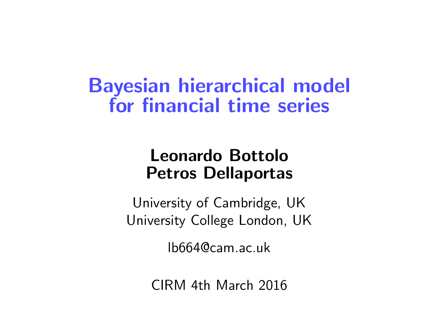Bayesian hierarchical model for financial time series

#### Leonardo Bottolo Petros Dellaportas

University of Cambridge, UK University College London, UK

lb664@cam.ac.uk

CIRM 4th March 2016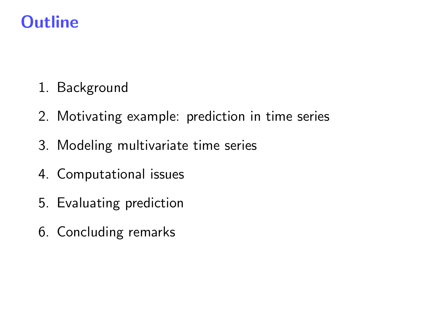## **Outline**

- 1. Background
- 2. Motivating example: prediction in time series
- 3. Modeling multivariate time series
- 4. Computational issues
- 5. Evaluating prediction
- 6. Concluding remarks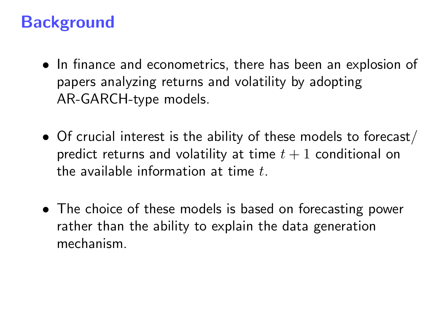### **Background**

- In finance and econometrics, there has been an explosion of papers analyzing returns and volatility by adopting AR-GARCH-type models.
- Of crucial interest is the ability of these models to forecast/ predict returns and volatility at time  $t + 1$  conditional on the available information at time  $t<sub>1</sub>$
- The choice of these models is based on forecasting power rather than the ability to explain the data generation mechanism.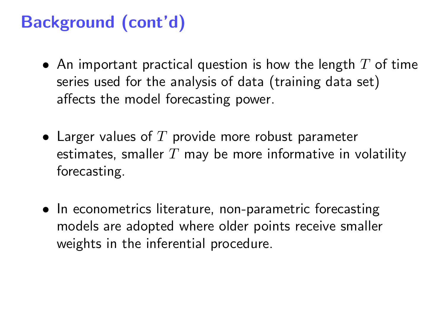# Background (cont'd)

- An important practical question is how the length  $T$  of time series used for the analysis of data (training data set) affects the model forecasting power.
- Larger values of  $T$  provide more robust parameter estimates, smaller  $T$  may be more informative in volatility forecasting.
- In econometrics literature, non-parametric forecasting models are adopted where older points receive smaller weights in the inferential procedure.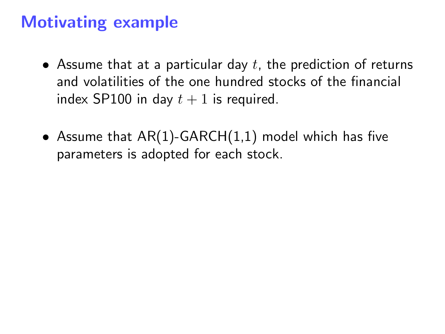#### Motivating example

- Assume that at a particular day  $t$ , the prediction of returns and volatilities of the one hundred stocks of the financial index SP100 in day  $t + 1$  is required.
- Assume that  $AR(1)$ -GARCH $(1,1)$  model which has five parameters is adopted for each stock.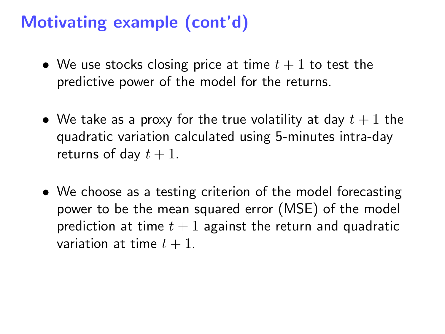### Motivating example (cont'd)

- We use stocks closing price at time  $t + 1$  to test the predictive power of the model for the returns.
- We take as a proxy for the true volatility at day  $t + 1$  the quadratic variation calculated using 5-minutes intra-day returns of day  $t + 1$ .
- We choose as a testing criterion of the model forecasting power to be the mean squared error (MSE) of the model prediction at time  $t + 1$  against the return and quadratic variation at time  $t + 1$ .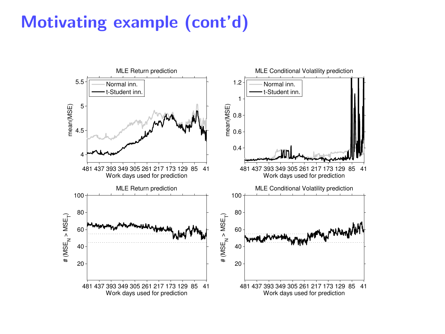### Motivating example (cont'd)

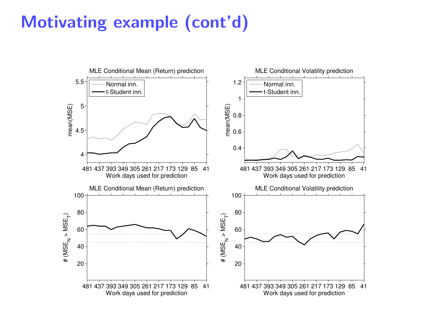## Motivating example (cont'd)

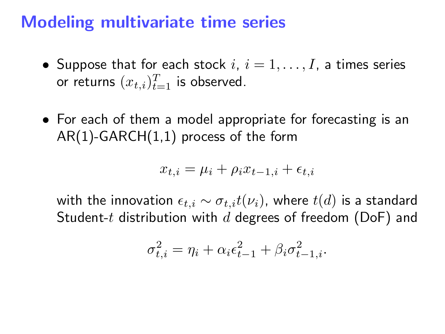#### Modeling multivariate time series

- Suppose that for each stock  $i, i = 1, \ldots, I$ , a times series or returns  $(x_{t,i})_{t=1}^T$  is observed.
- For each of them a model appropriate for forecasting is an AR(1)-GARCH(1,1) process of the form

$$
x_{t,i} = \mu_i + \rho_i x_{t-1,i} + \epsilon_{t,i}
$$

with the innovation  $\epsilon_{t,i} \sim \sigma_{t,i} t(\nu_i)$ , where  $t(d)$  is a standard Student-t distribution with  $d$  degrees of freedom (DoF) and

$$
\sigma_{t,i}^2 = \eta_i + \alpha_i \epsilon_{t-1}^2 + \beta_i \sigma_{t-1,i}^2.
$$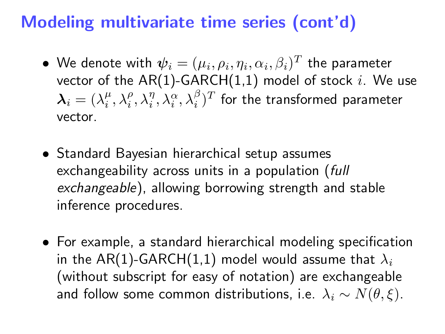### Modeling multivariate time series (cont'd)

- $\bullet\,$  We denote with  $\boldsymbol{\psi}_i = (\mu_i, \rho_i, \eta_i, \alpha_i, \beta_i)^T$  the parameter vector of the AR(1)-GARCH(1,1) model of stock i. We use  $\bm{\lambda}_i=(\lambda_i^\mu,\lambda_i^\rho,\lambda_i^\eta,\lambda_i^\alpha,\lambda_i^\beta)^T$  for the transformed parameter vector.
- Standard Bayesian hierarchical setup assumes exchangeability across units in a population (full exchangeable), allowing borrowing strength and stable inference procedures.
- For example, a standard hierarchical modeling specification in the AR(1)-GARCH(1,1) model would assume that  $\lambda_i$ (without subscript for easy of notation) are exchangeable and follow some common distributions, i.e.  $\lambda_i \sim N(\theta, \xi)$ .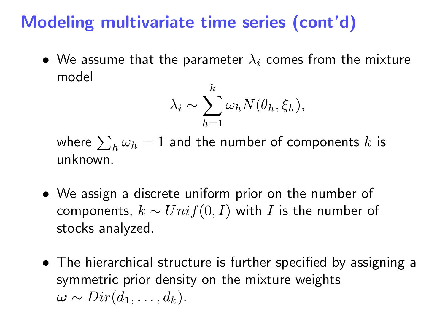## Modeling multivariate time series (cont'd)

• We assume that the parameter  $\lambda_i$  comes from the mixture model

$$
\lambda_i \sim \sum_{h=1}^k \omega_h N(\theta_h, \xi_h),
$$

where  $\sum_h \omega_h = 1$  and the number of components  $k$  is unknown.

- We assign a discrete uniform prior on the number of components,  $k \sim Unif(0, I)$  with I is the number of stocks analyzed.
- The hierarchical structure is further specified by assigning a symmetric prior density on the mixture weights  $\omega \sim Dir(d_1, \ldots, d_k).$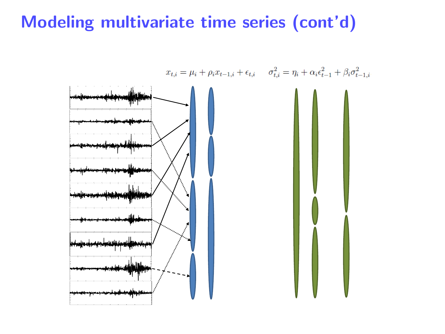### Modeling multivariate time series (cont'd)

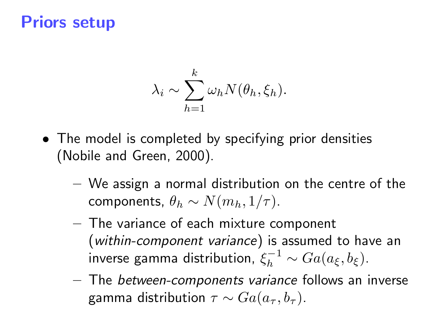#### Priors setup

$$
\lambda_i \sim \sum_{h=1}^k \omega_h N(\theta_h, \xi_h).
$$

- The model is completed by specifying prior densities (Nobile and Green, 2000).
	- We assign a normal distribution on the centre of the components,  $\theta_h \sim N(m_h, 1/\tau)$ .
	- The variance of each mixture component (within-component variance) is assumed to have an inverse gamma distribution,  $\xi_h^{-1} \sim Ga(a_\xi,b_\xi)$ .
	- The between-components variance follows an inverse gamma distribution  $\tau \sim Ga(a_{\tau}, b_{\tau}).$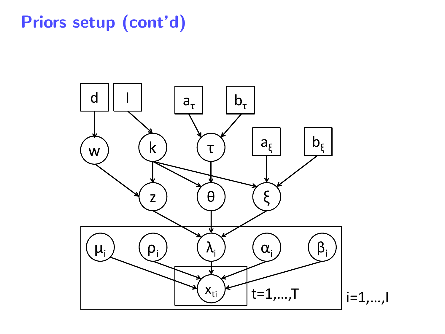# Priors setup (cont'd)

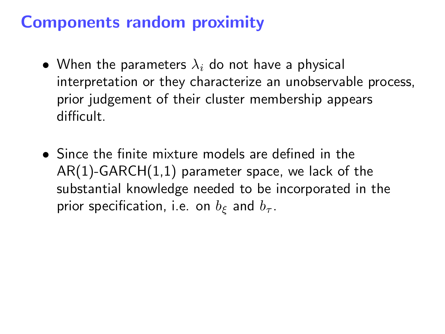### Components random proximity

- When the parameters  $\lambda_i$  do not have a physical interpretation or they characterize an unobservable process, prior judgement of their cluster membership appears difficult.
- Since the finite mixture models are defined in the AR(1)-GARCH(1,1) parameter space, we lack of the substantial knowledge needed to be incorporated in the prior specification, i.e. on  $b_{\xi}$  and  $b_{\tau}$ .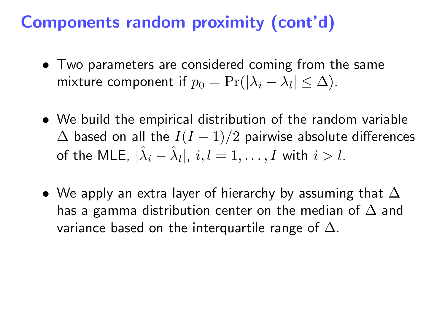- Two parameters are considered coming from the same mixture component if  $p_0 = \Pr(|\lambda_i - \lambda_l| \leq \Delta)$ .
- We build the empirical distribution of the random variable  $\Delta$  based on all the  $I(I - 1)/2$  pairwise absolute differences of the MLE,  $|\hat{\lambda}_i - \hat{\lambda}_l|, \, i,l = 1,\ldots,I$  with  $i > l.$
- We apply an extra layer of hierarchy by assuming that  $\Delta$ has a gamma distribution center on the median of  $\Delta$  and variance based on the interquartile range of  $\Delta$ .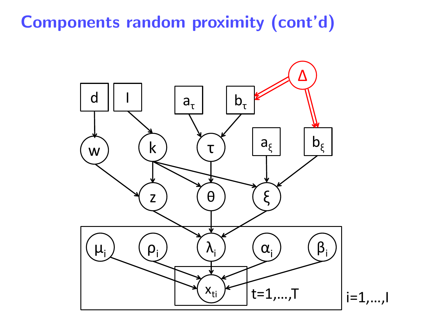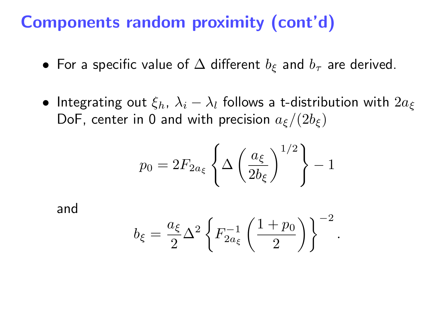- For a specific value of  $\Delta$  different  $b_{\epsilon}$  and  $b_{\tau}$  are derived.
- Integrating out  $\xi_h$ ,  $\lambda_i \lambda_l$  follows a t-distribution with  $2a_{\xi}$ DoF, center in 0 and with precision  $a_{\xi}/(2b_{\xi})$

$$
p_0 = 2F_{2a_{\xi}} \left\{ \Delta \left( \frac{a_{\xi}}{2b_{\xi}} \right)^{1/2} \right\} - 1
$$

and

$$
b_{\xi} = \frac{a_{\xi}}{2} \Delta^2 \left\{ F_{2a_{\xi}}^{-1} \left( \frac{1+p_0}{2} \right) \right\}^{-2}
$$

.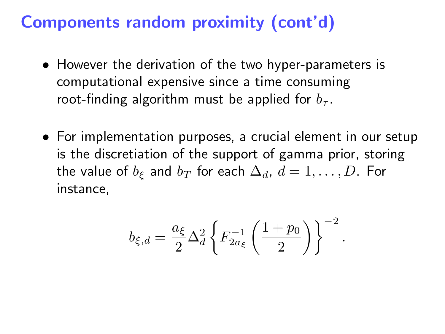- However the derivation of the two hyper-parameters is computational expensive since a time consuming root-finding algorithm must be applied for  $b<sub>\tau</sub>$ .
- For implementation purposes, a crucial element in our setup is the discretiation of the support of gamma prior, storing the value of  $b_{\xi}$  and  $b_T$  for each  $\Delta_d$ ,  $d = 1, \ldots, D$ . For instance,

$$
b_{\xi,d} = \frac{a_\xi}{2} \Delta_d^2 \left\{ F_{2 a_\xi}^{-1} \left( \frac{1+p_0}{2} \right) \right\}^{-2}.
$$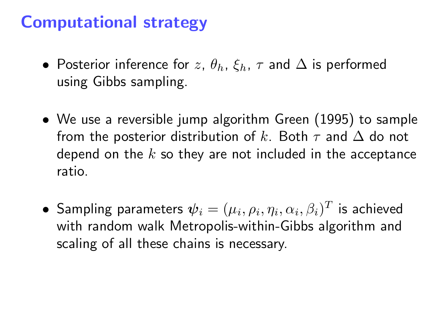#### Computational strategy

- Posterior inference for z,  $\theta_h$ ,  $\xi_h$ ,  $\tau$  and  $\Delta$  is performed using Gibbs sampling.
- We use a reversible jump algorithm Green (1995) to sample from the posterior distribution of k. Both  $\tau$  and  $\Delta$  do not depend on the  $k$  so they are not included in the acceptance ratio.
- $\bullet\,$  Sampling parameters  $\boldsymbol{\psi}_i = (\mu_i, \rho_i, \eta_i, \alpha_i, \beta_i)^T$  is achieved with random walk Metropolis-within-Gibbs algorithm and scaling of all these chains is necessary.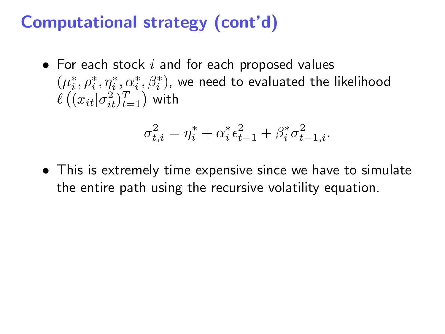### Computational strategy (cont'd)

• For each stock  $i$  and for each proposed values  $(\mu_i^*, \rho_i^*, \eta_i^*, \alpha_i^*, \beta_i^*)$ , we need to evaluated the likelihood  $\ell\left((x_{it}|\sigma_{it}^2)_{t=1}^T\right)$  with

$$
\sigma_{t,i}^2 = \eta_i^* + \alpha_i^* \epsilon_{t-1}^2 + \beta_i^* \sigma_{t-1,i}^2.
$$

• This is extremely time expensive since we have to simulate the entire path using the recursive volatility equation.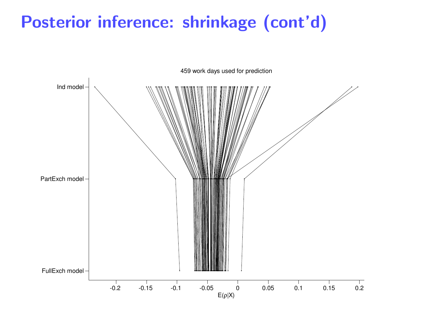### Posterior inference: shrinkage (cont'd)

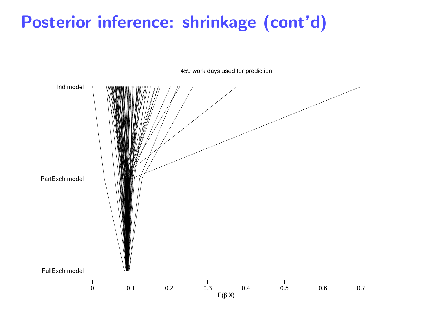## Posterior inference: shrinkage (cont'd)

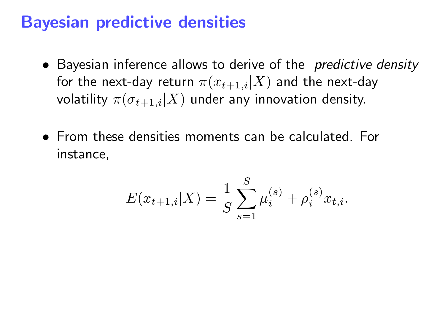#### Bayesian predictive densities

- Bayesian inference allows to derive of the *predictive density* for the next-day return  $\pi(x_{t+1,i}|X)$  and the next-day volatility  $\pi(\sigma_{t+1,i}|X)$  under any innovation density.
- From these densities moments can be calculated. For instance,

$$
E(x_{t+1,i}|X) = \frac{1}{S} \sum_{s=1}^{S} \mu_i^{(s)} + \rho_i^{(s)} x_{t,i}.
$$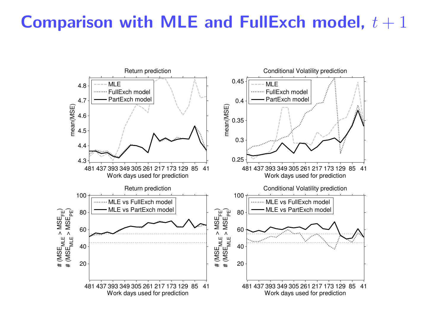#### Comparison with MLE and FullExch model,  $t + 1$

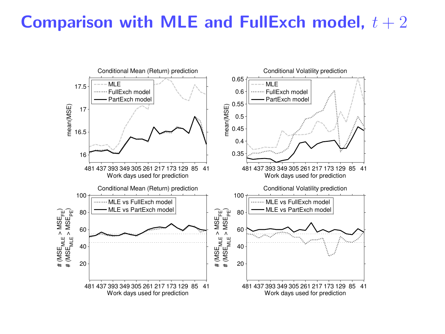#### Comparison with MLE and FullExch model,  $t + 2$

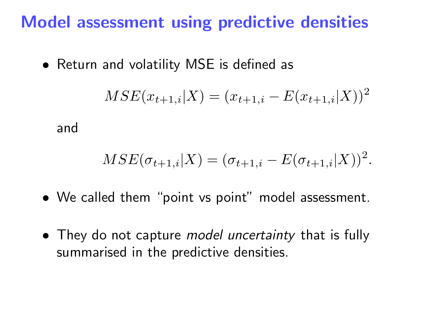### Model assessment using predictive densities

• Return and volatility MSE is defined as

$$
MSE(x_{t+1,i}|X) = (x_{t+1,i} - E(x_{t+1,i}|X))^2
$$

and

$$
MSE(\sigma_{t+1,i}|X) = (\sigma_{t+1,i} - E(\sigma_{t+1,i}|X))^2.
$$

- We called them "point vs point" model assessment.
- They do not capture *model uncertainty* that is fully summarised in the predictive densities.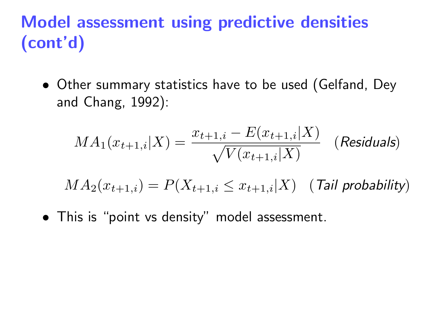## Model assessment using predictive densities (cont'd)

• Other summary statistics have to be used (Gelfand, Dey and Chang, 1992):

$$
MA_1(x_{t+1,i}|X) = \frac{x_{t+1,i} - E(x_{t+1,i}|X)}{\sqrt{V(x_{t+1,i}|X)}}
$$
 (Residuals)

 $MA_2(x_{t+1,i}) = P(X_{t+1,i} \leq x_{t+1,i}|X)$  (Tail probability)

• This is "point vs density" model assessment.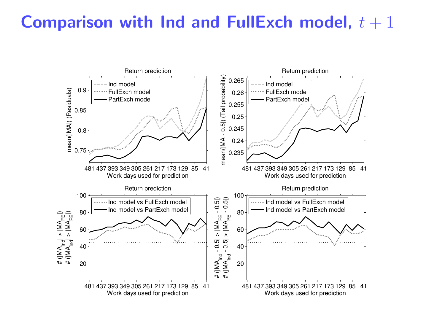#### Comparison with Ind and FullExch model,  $t + 1$

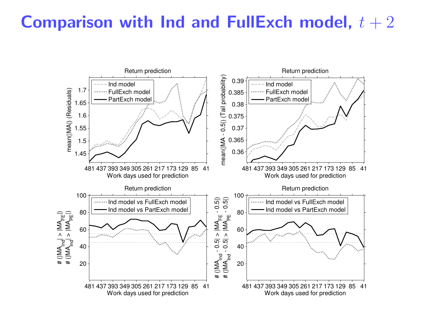#### Comparison with Ind and FullExch model,  $t + 2$

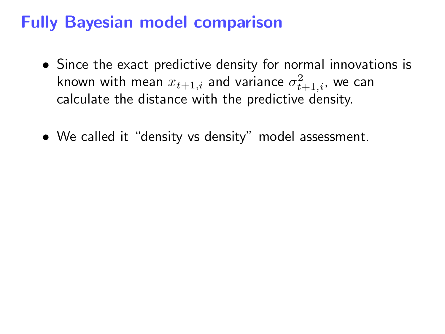### Fully Bayesian model comparison

- Since the exact predictive density for normal innovations is known with mean  $x_{t+1,i}$  and variance  $\sigma_{t+1,i}^2$ , we can calculate the distance with the predictive density.
- We called it "density vs density" model assessment.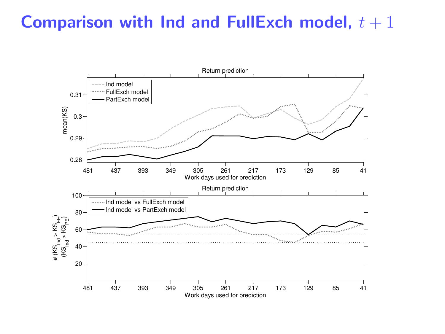#### Comparison with Ind and FullExch model,  $t + 1$

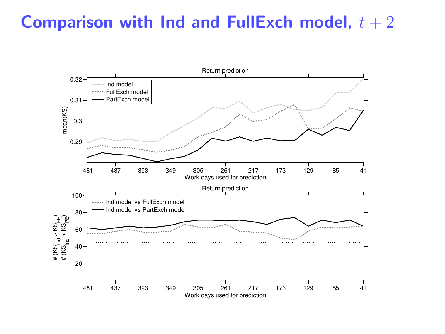#### Comparison with Ind and FullExch model,  $t + 2$